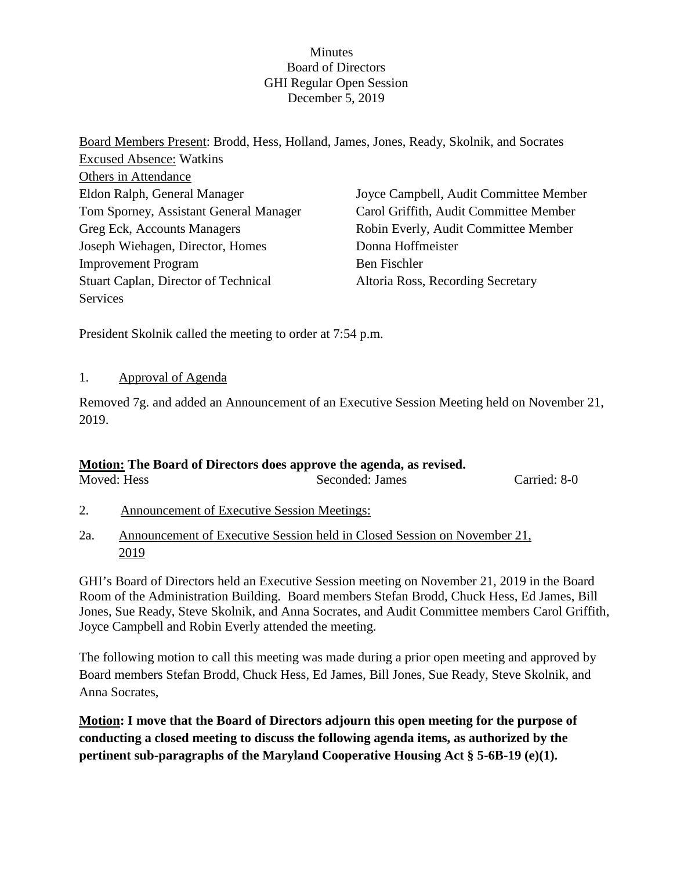### **Minutes** Board of Directors GHI Regular Open Session December 5, 2019

Board Members Present: Brodd, Hess, Holland, James, Jones, Ready, Skolnik, and Socrates Excused Absence: Watkins Others in Attendance Eldon Ralph, General Manager Tom Sporney, Assistant General Manager Greg Eck, Accounts Managers Joseph Wiehagen, Director, Homes Improvement Program Stuart Caplan, Director of Technical **Services** Joyce Campbell, Audit Committee Member Carol Griffith, Audit Committee Member Robin Everly, Audit Committee Member Donna Hoffmeister Ben Fischler Altoria Ross, Recording Secretary

President Skolnik called the meeting to order at 7:54 p.m.

## 1. Approval of Agenda

Removed 7g. and added an Announcement of an Executive Session Meeting held on November 21, 2019.

# **Motion: The Board of Directors does approve the agenda, as revised.**

| Moved: Hess | Seconded: James | Carried: 8-0 |
|-------------|-----------------|--------------|
|             |                 |              |

- 2. Announcement of Executive Session Meetings:
- 2a. Announcement of Executive Session held in Closed Session on November 21, 2019

GHI's Board of Directors held an Executive Session meeting on November 21, 2019 in the Board Room of the Administration Building. Board members Stefan Brodd, Chuck Hess, Ed James, Bill Jones, Sue Ready, Steve Skolnik, and Anna Socrates, and Audit Committee members Carol Griffith, Joyce Campbell and Robin Everly attended the meeting.

The following motion to call this meeting was made during a prior open meeting and approved by Board members Stefan Brodd, Chuck Hess, Ed James, Bill Jones, Sue Ready, Steve Skolnik, and Anna Socrates,

**Motion: I move that the Board of Directors adjourn this open meeting for the purpose of conducting a closed meeting to discuss the following agenda items, as authorized by the pertinent sub-paragraphs of the Maryland Cooperative Housing Act § 5-6B-19 (e)(1).**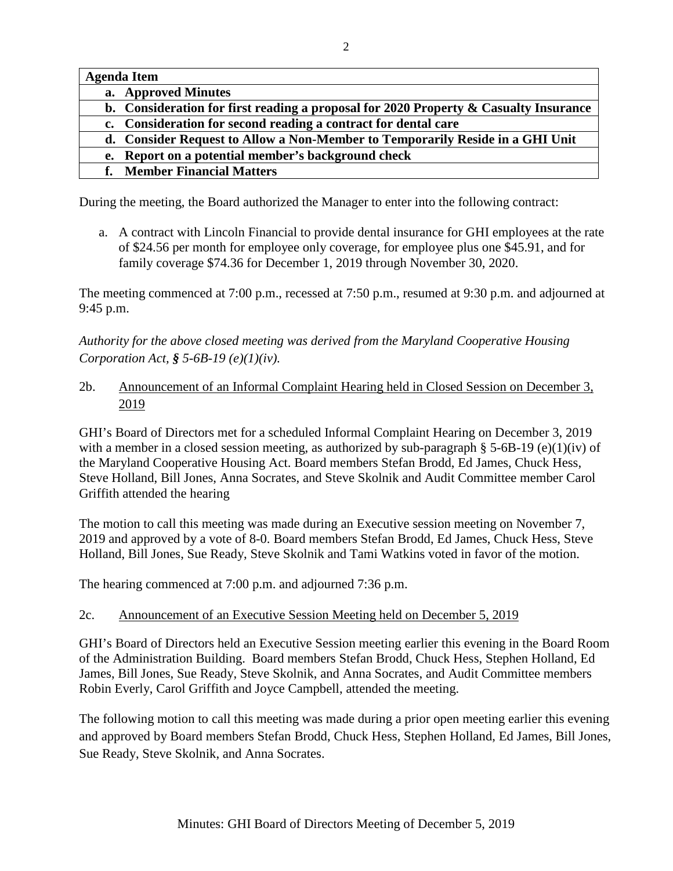| <b>Agenda Item</b>                                                                      |
|-----------------------------------------------------------------------------------------|
| a. Approved Minutes                                                                     |
| b. Consideration for first reading a proposal for 2020 Property $\&$ Casualty Insurance |
| c. Consideration for second reading a contract for dental care                          |
| d. Consider Request to Allow a Non-Member to Temporarily Reside in a GHI Unit           |
| Report on a potential member's background check<br>e.                                   |
| <b>Member Financial Matters</b>                                                         |

During the meeting, the Board authorized the Manager to enter into the following contract:

a. A contract with Lincoln Financial to provide dental insurance for GHI employees at the rate of \$24.56 per month for employee only coverage, for employee plus one \$45.91, and for family coverage \$74.36 for December 1, 2019 through November 30, 2020.

The meeting commenced at 7:00 p.m., recessed at 7:50 p.m., resumed at 9:30 p.m. and adjourned at 9:45 p.m.

*Authority for the above closed meeting was derived from the Maryland Cooperative Housing Corporation Act, § 5-6B-19 (e)(1)(iv).* 

# 2b. Announcement of an Informal Complaint Hearing held in Closed Session on December 3, 2019

GHI's Board of Directors met for a scheduled Informal Complaint Hearing on December 3, 2019 with a member in a closed session meeting, as authorized by sub-paragraph § 5-6B-19 (e)(1)(iv) of the Maryland Cooperative Housing Act. Board members Stefan Brodd, Ed James, Chuck Hess, Steve Holland, Bill Jones, Anna Socrates, and Steve Skolnik and Audit Committee member Carol Griffith attended the hearing

The motion to call this meeting was made during an Executive session meeting on November 7, 2019 and approved by a vote of 8-0. Board members Stefan Brodd, Ed James, Chuck Hess, Steve Holland, Bill Jones, Sue Ready, Steve Skolnik and Tami Watkins voted in favor of the motion.

The hearing commenced at 7:00 p.m. and adjourned 7:36 p.m.

# 2c. Announcement of an Executive Session Meeting held on December 5, 2019

GHI's Board of Directors held an Executive Session meeting earlier this evening in the Board Room of the Administration Building. Board members Stefan Brodd, Chuck Hess, Stephen Holland, Ed James, Bill Jones, Sue Ready, Steve Skolnik, and Anna Socrates, and Audit Committee members Robin Everly, Carol Griffith and Joyce Campbell, attended the meeting.

The following motion to call this meeting was made during a prior open meeting earlier this evening and approved by Board members Stefan Brodd, Chuck Hess, Stephen Holland, Ed James, Bill Jones, Sue Ready, Steve Skolnik, and Anna Socrates.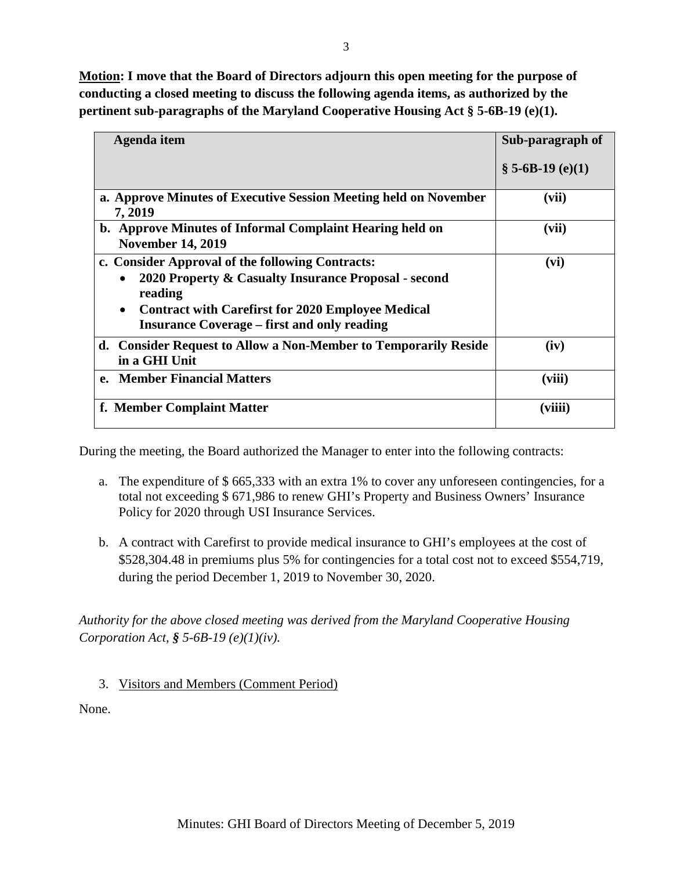**Motion: I move that the Board of Directors adjourn this open meeting for the purpose of conducting a closed meeting to discuss the following agenda items, as authorized by the pertinent sub-paragraphs of the Maryland Cooperative Housing Act § 5-6B-19 (e)(1).** 

| Agenda item                                                                                                                                                                                                                                                     | Sub-paragraph of    |
|-----------------------------------------------------------------------------------------------------------------------------------------------------------------------------------------------------------------------------------------------------------------|---------------------|
|                                                                                                                                                                                                                                                                 | $\S$ 5-6B-19 (e)(1) |
| a. Approve Minutes of Executive Session Meeting held on November<br>7, 2019                                                                                                                                                                                     | (vii)               |
| b. Approve Minutes of Informal Complaint Hearing held on<br><b>November 14, 2019</b>                                                                                                                                                                            | (vii)               |
| c. Consider Approval of the following Contracts:<br>2020 Property & Casualty Insurance Proposal - second<br>$\bullet$<br>reading<br><b>Contract with Carefirst for 2020 Employee Medical</b><br>$\bullet$<br><b>Insurance Coverage – first and only reading</b> | (vi)                |
| d. Consider Request to Allow a Non-Member to Temporarily Reside<br>in a GHI Unit                                                                                                                                                                                | (iv)                |
| e. Member Financial Matters                                                                                                                                                                                                                                     | (viii)              |
| f. Member Complaint Matter                                                                                                                                                                                                                                      | (viiii)             |

During the meeting, the Board authorized the Manager to enter into the following contracts:

- a. The expenditure of \$ 665,333 with an extra 1% to cover any unforeseen contingencies, for a total not exceeding \$ 671,986 to renew GHI's Property and Business Owners' Insurance Policy for 2020 through USI Insurance Services.
- b. A contract with Carefirst to provide medical insurance to GHI's employees at the cost of \$528,304.48 in premiums plus 5% for contingencies for a total cost not to exceed \$554,719, during the period December 1, 2019 to November 30, 2020.

*Authority for the above closed meeting was derived from the Maryland Cooperative Housing Corporation Act, § 5-6B-19 (e)(1)(iv).* 

3. Visitors and Members (Comment Period)

None.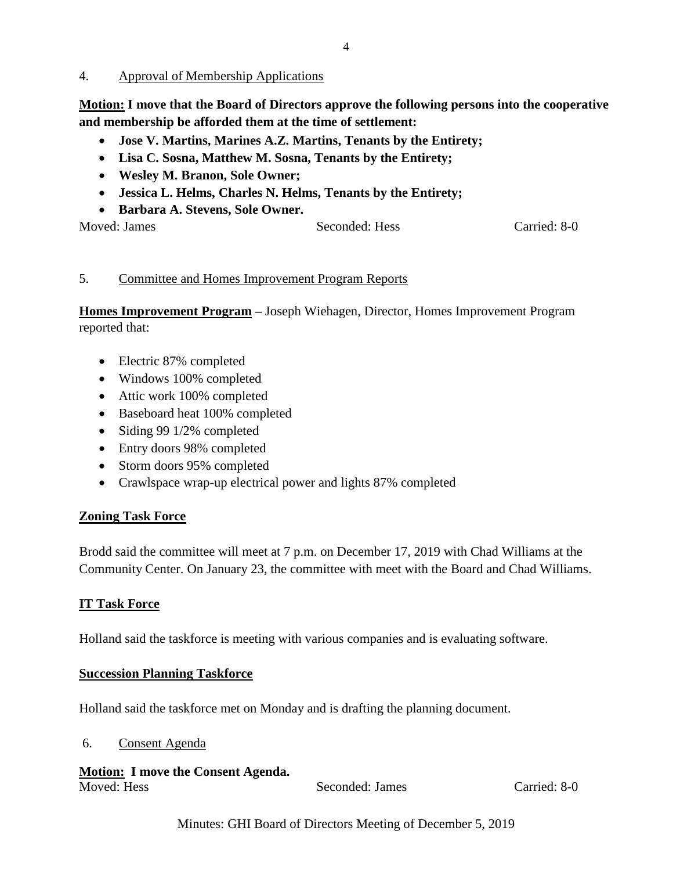4. Approval of Membership Applications

**Motion: I move that the Board of Directors approve the following persons into the cooperative and membership be afforded them at the time of settlement:**

- **Jose V. Martins, Marines A.Z. Martins, Tenants by the Entirety;**
- **Lisa C. Sosna, Matthew M. Sosna, Tenants by the Entirety;**
- **Wesley M. Branon, Sole Owner;**
- **Jessica L. Helms, Charles N. Helms, Tenants by the Entirety;**
- **Barbara A. Stevens, Sole Owner.**

| Moved: James | Seconded: Hess | Carried: 8-0 |
|--------------|----------------|--------------|
|              |                |              |

### 5. Committee and Homes Improvement Program Reports

**Homes Improvement Program –** Joseph Wiehagen, Director, Homes Improvement Program reported that:

- Electric 87% completed
- Windows 100% completed
- Attic work 100% completed
- Baseboard heat 100% completed
- Siding 99 1/2% completed
- Entry doors 98% completed
- Storm doors 95% completed
- Crawlspace wrap-up electrical power and lights 87% completed

## **Zoning Task Force**

Brodd said the committee will meet at 7 p.m. on December 17, 2019 with Chad Williams at the Community Center. On January 23, the committee with meet with the Board and Chad Williams.

## **IT Task Force**

Holland said the taskforce is meeting with various companies and is evaluating software.

### **Succession Planning Taskforce**

Holland said the taskforce met on Monday and is drafting the planning document.

### 6. Consent Agenda

| <b>Motion: I move the Consent Agenda.</b> |                 |              |
|-------------------------------------------|-----------------|--------------|
| Moved: Hess                               | Seconded: James | Carried: 8-0 |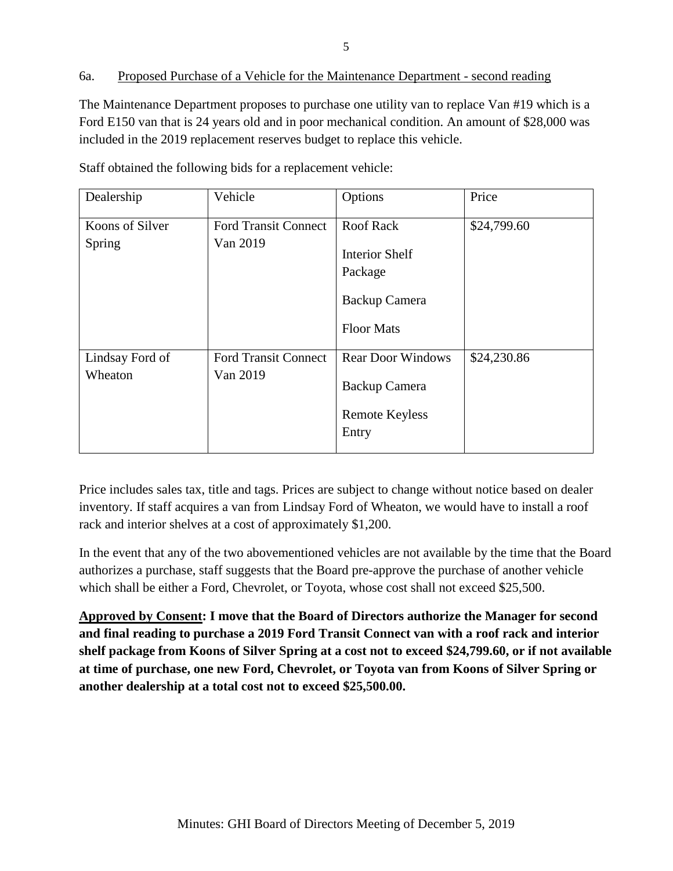## 6a. Proposed Purchase of a Vehicle for the Maintenance Department - second reading

The Maintenance Department proposes to purchase one utility van to replace Van #19 which is a Ford E150 van that is 24 years old and in poor mechanical condition. An amount of \$28,000 was included in the 2019 replacement reserves budget to replace this vehicle.

| Dealership                 | Vehicle                                 | Options                                                                                    | Price       |
|----------------------------|-----------------------------------------|--------------------------------------------------------------------------------------------|-------------|
| Koons of Silver<br>Spring  | <b>Ford Transit Connect</b><br>Van 2019 | <b>Roof Rack</b><br><b>Interior Shelf</b><br>Package<br>Backup Camera<br><b>Floor Mats</b> | \$24,799.60 |
| Lindsay Ford of<br>Wheaton | <b>Ford Transit Connect</b><br>Van 2019 | <b>Rear Door Windows</b><br>Backup Camera<br><b>Remote Keyless</b><br>Entry                | \$24,230.86 |

Staff obtained the following bids for a replacement vehicle:

Price includes sales tax, title and tags. Prices are subject to change without notice based on dealer inventory. If staff acquires a van from Lindsay Ford of Wheaton, we would have to install a roof rack and interior shelves at a cost of approximately \$1,200.

In the event that any of the two abovementioned vehicles are not available by the time that the Board authorizes a purchase, staff suggests that the Board pre-approve the purchase of another vehicle which shall be either a Ford, Chevrolet, or Toyota, whose cost shall not exceed \$25,500.

**Approved by Consent: I move that the Board of Directors authorize the Manager for second and final reading to purchase a 2019 Ford Transit Connect van with a roof rack and interior shelf package from Koons of Silver Spring at a cost not to exceed \$24,799.60, or if not available at time of purchase, one new Ford, Chevrolet, or Toyota van from Koons of Silver Spring or another dealership at a total cost not to exceed \$25,500.00.**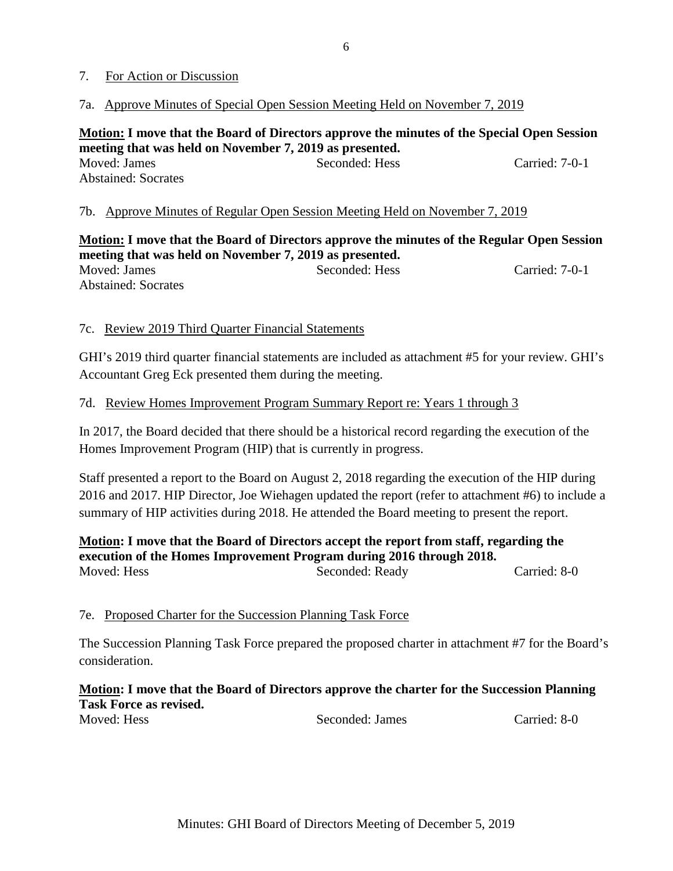### 7. For Action or Discussion

#### 7a. Approve Minutes of Special Open Session Meeting Held on November 7, 2019

**Motion: I move that the Board of Directors approve the minutes of the Special Open Session meeting that was held on November 7, 2019 as presented.** Moved: James Seconded: Hess Carried: 7-0-1 Abstained: Socrates

#### 7b. Approve Minutes of Regular Open Session Meeting Held on November 7, 2019

**Motion: I move that the Board of Directors approve the minutes of the Regular Open Session meeting that was held on November 7, 2019 as presented.** Moved: James Seconded: Hess Carried: 7-0-1 Abstained: Socrates

#### 7c. Review 2019 Third Quarter Financial Statements

GHI's 2019 third quarter financial statements are included as attachment #5 for your review. GHI's Accountant Greg Eck presented them during the meeting.

#### 7d. Review Homes Improvement Program Summary Report re: Years 1 through 3

In 2017, the Board decided that there should be a historical record regarding the execution of the Homes Improvement Program (HIP) that is currently in progress.

Staff presented a report to the Board on August 2, 2018 regarding the execution of the HIP during 2016 and 2017. HIP Director, Joe Wiehagen updated the report (refer to attachment #6) to include a summary of HIP activities during 2018. He attended the Board meeting to present the report.

### **Motion: I move that the Board of Directors accept the report from staff, regarding the execution of the Homes Improvement Program during 2016 through 2018.**

Moved: Hess Seconded: Ready Carried: 8-0

### 7e. Proposed Charter for the Succession Planning Task Force

The Succession Planning Task Force prepared the proposed charter in attachment #7 for the Board's consideration.

## **Motion: I move that the Board of Directors approve the charter for the Succession Planning Task Force as revised.**

Moved: Hess Seconded: James Carried: 8-0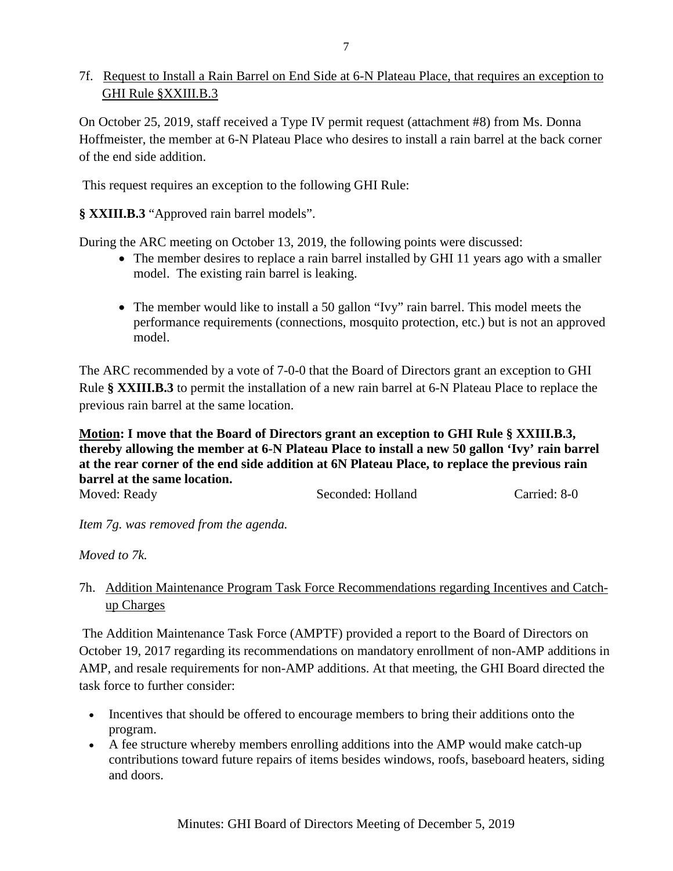# 7f. Request to Install a Rain Barrel on End Side at 6-N Plateau Place, that requires an exception to GHI Rule §XXIII.B.3

On October 25, 2019, staff received a Type IV permit request (attachment #8) from Ms. Donna Hoffmeister, the member at 6-N Plateau Place who desires to install a rain barrel at the back corner of the end side addition.

This request requires an exception to the following GHI Rule:

**§ XXIII.B.3** "Approved rain barrel models".

During the ARC meeting on October 13, 2019, the following points were discussed:

- The member desires to replace a rain barrel installed by GHI 11 years ago with a smaller model. The existing rain barrel is leaking.
- The member would like to install a 50 gallon "Ivy" rain barrel. This model meets the performance requirements (connections, mosquito protection, etc.) but is not an approved model.

The ARC recommended by a vote of 7-0-0 that the Board of Directors grant an exception to GHI Rule **§ XXIII.B.3** to permit the installation of a new rain barrel at 6-N Plateau Place to replace the previous rain barrel at the same location.

**Motion: I move that the Board of Directors grant an exception to GHI Rule § XXIII.B.3, thereby allowing the member at 6-N Plateau Place to install a new 50 gallon 'Ivy' rain barrel at the rear corner of the end side addition at 6N Plateau Place, to replace the previous rain barrel at the same location.**

Moved: Ready **Seconded: Holland** Carried: 8-0

*Item 7g. was removed from the agenda.*

*Moved to 7k.*

# 7h. Addition Maintenance Program Task Force Recommendations regarding Incentives and Catch up Charges

The Addition Maintenance Task Force (AMPTF) provided a report to the Board of Directors on October 19, 2017 regarding its recommendations on mandatory enrollment of non-AMP additions in AMP, and resale requirements for non-AMP additions. At that meeting, the GHI Board directed the task force to further consider:

- Incentives that should be offered to encourage members to bring their additions onto the program.
- A fee structure whereby members enrolling additions into the AMP would make catch-up contributions toward future repairs of items besides windows, roofs, baseboard heaters, siding and doors.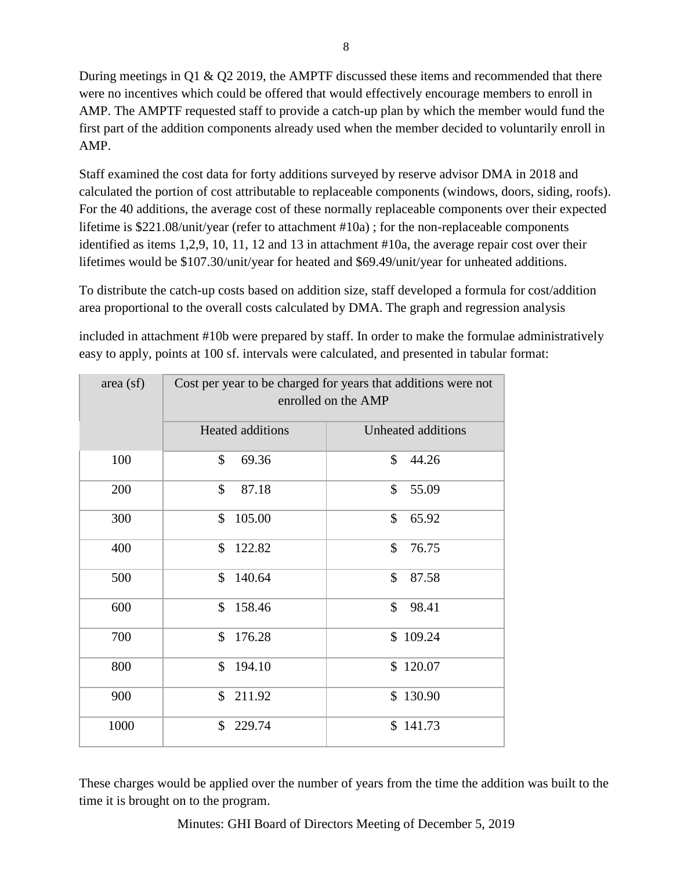During meetings in Q1 & Q2 2019, the AMPTF discussed these items and recommended that there were no incentives which could be offered that would effectively encourage members to enroll in AMP. The AMPTF requested staff to provide a catch-up plan by which the member would fund the first part of the addition components already used when the member decided to voluntarily enroll in AMP.

Staff examined the cost data for forty additions surveyed by reserve advisor DMA in 2018 and calculated the portion of cost attributable to replaceable components (windows, doors, siding, roofs). For the 40 additions, the average cost of these normally replaceable components over their expected lifetime is \$221.08/unit/year (refer to attachment #10a) ; for the non-replaceable components identified as items 1,2,9, 10, 11, 12 and 13 in attachment #10a, the average repair cost over their lifetimes would be \$107.30/unit/year for heated and \$69.49/unit/year for unheated additions.

To distribute the catch-up costs based on addition size, staff developed a formula for cost/addition area proportional to the overall costs calculated by DMA. The graph and regression analysis

included in attachment #10b were prepared by staff. In order to make the formulae administratively easy to apply, points at 100 sf. intervals were calculated, and presented in tabular format:

| area (sf) | Cost per year to be charged for years that additions were not<br>enrolled on the AMP |                    |
|-----------|--------------------------------------------------------------------------------------|--------------------|
|           | Heated additions                                                                     | Unheated additions |
| 100       | \$<br>69.36                                                                          | \$<br>44.26        |
| 200       | $\mathcal{S}$<br>87.18                                                               | \$<br>55.09        |
| 300       | 105.00<br>\$                                                                         | \$<br>65.92        |
| 400       | \$<br>122.82                                                                         | \$<br>76.75        |
| 500       | \$<br>140.64                                                                         | \$<br>87.58        |
| 600       | \$<br>158.46                                                                         | \$<br>98.41        |
| 700       | $\mathcal{S}$<br>176.28                                                              | \$109.24           |
| 800       | \$<br>194.10                                                                         | \$120.07           |
| 900       | $\mathbb{S}$<br>211.92                                                               | \$130.90           |
| 1000      | \$<br>229.74                                                                         | \$141.73           |

These charges would be applied over the number of years from the time the addition was built to the time it is brought on to the program.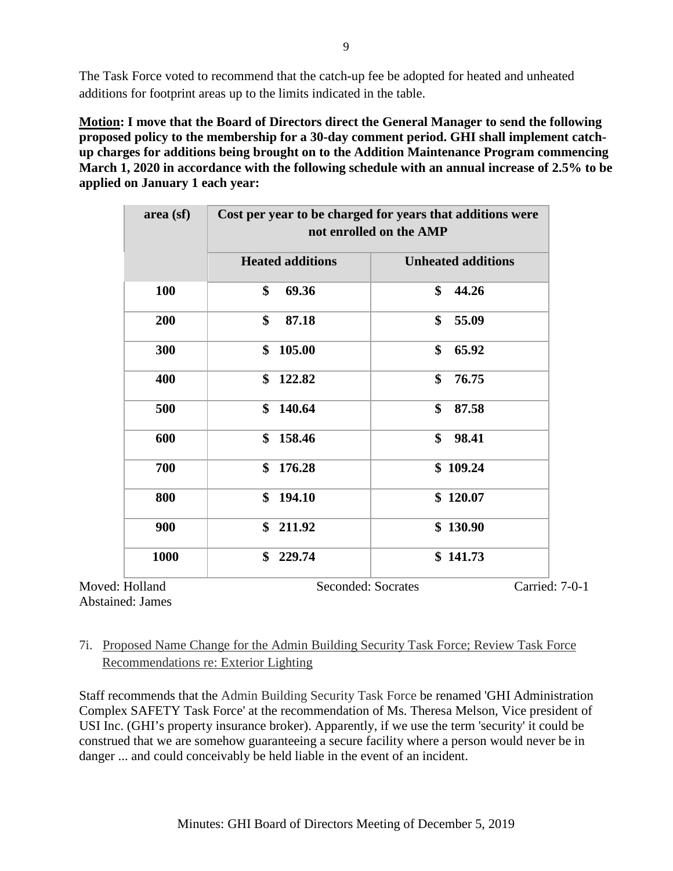The Task Force voted to recommend that the catch-up fee be adopted for heated and unheated additions for footprint areas up to the limits indicated in the table.

**Motion: I move that the Board of Directors direct the General Manager to send the following proposed policy to the membership for a 30-day comment period. GHI shall implement catchup charges for additions being brought on to the Addition Maintenance Program commencing March 1, 2020 in accordance with the following schedule with an annual increase of 2.5% to be applied on January 1 each year:**

| area (sf) | Cost per year to be charged for years that additions were<br>not enrolled on the AMP |                           |  |
|-----------|--------------------------------------------------------------------------------------|---------------------------|--|
|           | <b>Heated additions</b>                                                              | <b>Unheated additions</b> |  |
| 100       | \$<br>69.36                                                                          | \$<br>44.26               |  |
| 200       | \$<br>87.18                                                                          | \$<br>55.09               |  |
| 300       | \$<br>105.00                                                                         | \$<br>65.92               |  |
| 400       | \$<br>122.82                                                                         | \$<br>76.75               |  |
| 500       | \$<br>140.64                                                                         | \$<br>87.58               |  |
| 600       | \$<br>158.46                                                                         | \$<br>98.41               |  |
| 700       | \$<br>176.28                                                                         | \$109.24                  |  |
| 800       | \$<br>194.10                                                                         | \$120.07                  |  |
| 900       | \$<br>211.92                                                                         | \$130.90                  |  |
| 1000      | \$<br>229.74                                                                         | \$141.73                  |  |

Abstained: James

Moved: Holland Seconded: Socrates Carried: 7-0-1

# 7i. Proposed Name Change for the Admin Building Security Task Force; Review Task Force Recommendations re: Exterior Lighting

Staff recommends that the Admin Building Security Task Force be renamed 'GHI Administration Complex SAFETY Task Force' at the recommendation of Ms. Theresa Melson, Vice president of USI Inc. (GHI's property insurance broker). Apparently, if we use the term 'security' it could be construed that we are somehow guaranteeing a secure facility where a person would never be in danger ... and could conceivably be held liable in the event of an incident.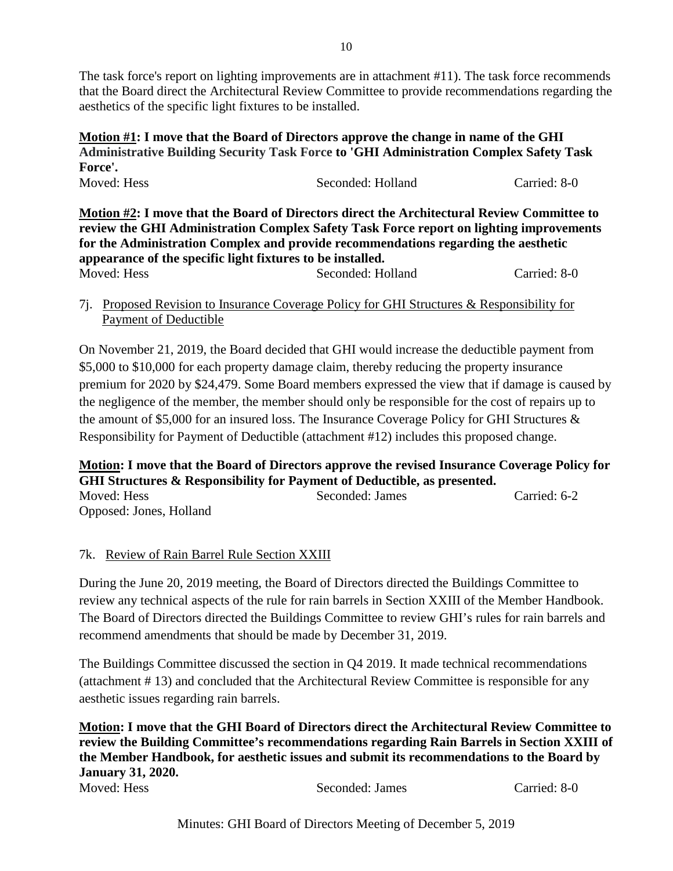The task force's report on lighting improvements are in attachment #11). The task force recommends that the Board direct the Architectural Review Committee to provide recommendations regarding the aesthetics of the specific light fixtures to be installed.

### **Motion #1: I move that the Board of Directors approve the change in name of the GHI Administrative Building Security Task Force to 'GHI Administration Complex Safety Task Force'.** Moved: Hess Seconded: Holland Carried: 8-0

**Motion #2: I move that the Board of Directors direct the Architectural Review Committee to review the GHI Administration Complex Safety Task Force report on lighting improvements for the Administration Complex and provide recommendations regarding the aesthetic appearance of the specific light fixtures to be installed.**  Moved: Hess Seconded: Holland Carried: 8-0

7j. Proposed Revision to Insurance Coverage Policy for GHI Structures & Responsibility for Payment of Deductible

On November 21, 2019, the Board decided that GHI would increase the deductible payment from \$5,000 to \$10,000 for each property damage claim, thereby reducing the property insurance premium for 2020 by \$24,479. Some Board members expressed the view that if damage is caused by the negligence of the member, the member should only be responsible for the cost of repairs up to the amount of \$5,000 for an insured loss. The Insurance Coverage Policy for GHI Structures & Responsibility for Payment of Deductible (attachment #12) includes this proposed change.

**Motion: I move that the Board of Directors approve the revised Insurance Coverage Policy for GHI Structures & Responsibility for Payment of Deductible, as presented.** Moved: Hess Seconded: James Carried: 6-2

Opposed: Jones, Holland

# 7k. Review of Rain Barrel Rule Section XXIII

During the June 20, 2019 meeting, the Board of Directors directed the Buildings Committee to review any technical aspects of the rule for rain barrels in Section XXIII of the Member Handbook. The Board of Directors directed the Buildings Committee to review GHI's rules for rain barrels and recommend amendments that should be made by December 31, 2019.

The Buildings Committee discussed the section in Q4 2019. It made technical recommendations (attachment # 13) and concluded that the Architectural Review Committee is responsible for any aesthetic issues regarding rain barrels.

**Motion: I move that the GHI Board of Directors direct the Architectural Review Committee to review the Building Committee's recommendations regarding Rain Barrels in Section XXIII of the Member Handbook, for aesthetic issues and submit its recommendations to the Board by January 31, 2020.** Moved: Hess Seconded: James Carried: 8-0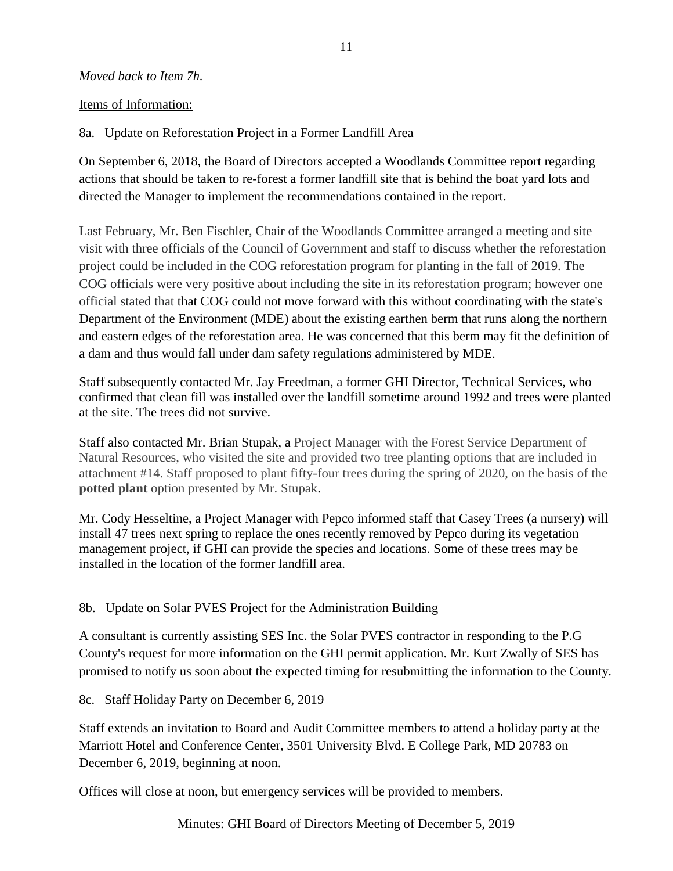### *Moved back to Item 7h.*

### Items of Information:

## 8a. Update on Reforestation Project in a Former Landfill Area

On September 6, 2018, the Board of Directors accepted a Woodlands Committee report regarding actions that should be taken to re-forest a former landfill site that is behind the boat yard lots and directed the Manager to implement the recommendations contained in the report.

Last February, Mr. Ben Fischler, Chair of the Woodlands Committee arranged a meeting and site visit with three officials of the Council of Government and staff to discuss whether the reforestation project could be included in the COG reforestation program for planting in the fall of 2019. The COG officials were very positive about including the site in its reforestation program; however one official stated that that COG could not move forward with this without coordinating with the state's Department of the Environment (MDE) about the existing earthen berm that runs along the northern and eastern edges of the reforestation area. He was concerned that this berm may fit the definition of a dam and thus would fall under dam safety regulations administered by MDE.

Staff subsequently contacted Mr. Jay Freedman, a former GHI Director, Technical Services, who confirmed that clean fill was installed over the landfill sometime around 1992 and trees were planted at the site. The trees did not survive.

Staff also contacted Mr. Brian Stupak, a Project Manager with the Forest Service Department of Natural Resources, who visited the site and provided two tree planting options that are included in attachment #14. Staff proposed to plant fifty-four trees during the spring of 2020, on the basis of the **potted plant** option presented by Mr. Stupak.

Mr. Cody Hesseltine, a Project Manager with Pepco informed staff that Casey Trees (a nursery) will install 47 trees next spring to replace the ones recently removed by Pepco during its vegetation management project, if GHI can provide the species and locations. Some of these trees may be installed in the location of the former landfill area.

# 8b. Update on Solar PVES Project for the Administration Building

A consultant is currently assisting SES Inc. the Solar PVES contractor in responding to the P.G County's request for more information on the GHI permit application. Mr. Kurt Zwally of SES has promised to notify us soon about the expected timing for resubmitting the information to the County.

## 8c. Staff Holiday Party on December 6, 2019

Staff extends an invitation to Board and Audit Committee members to attend a holiday party at the Marriott Hotel and Conference Center, 3501 University Blvd. E College Park, MD 20783 on December 6, 2019, beginning at noon.

Offices will close at noon, but emergency services will be provided to members.